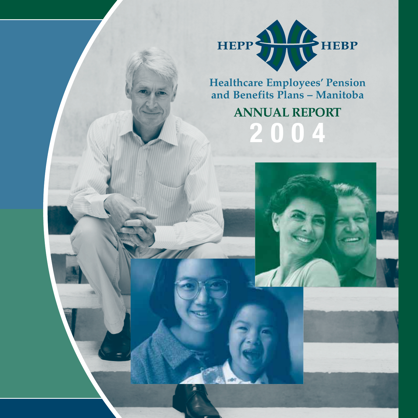

## **Healthcare Employees' Pension and Benefits Plans – Manitoba**

# **ANNUAL REPORT 2004**

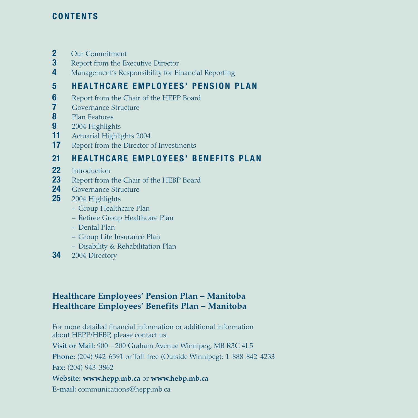#### **CONTENTS**

- **2** Our Commitment<br>**3** Report from the Example 2
- **3** Report from the Executive Director
- **4** Management's Responsibility for Financial Reporting

## **5 HEALTHCARE EMPLOYEES' PENSION PLAN**

- **6** Report from the Chair of the HEPP Board<br>**7** Governance Structure
- **7** Governance Structure<br>**8** Plan Features
- **8** Plan Features
- **9** 2004 Highlights<br>**11** Actuarial Highlis
- **11** Actuarial Highlights 2004<br>**17** Report from the Director
- **17** Report from the Director of Investments

## **21 HEALTHCARE EMPLOYEES' BENEFITS PLAN**

- **22** Introduction<br>**23** Report from
- **23** Report from the Chair of the HEBP Board
- **24** Governance Structure<br>**25** 2004 Highlights
- **25** 2004 Highlights
	- Group Healthcare Plan
	- Retiree Group Healthcare Plan
	- Dental Plan
	- Group Life Insurance Plan
	- Disability & Rehabilitation Plan
- **34** 2004 Directory

## **Healthcare Employees' Pension Plan – Manitoba Healthcare Employees' Benefits Plan – Manitoba**

For more detailed financial information or additional information about HEPP/HEBP, please contact us.

**Visit or Mail:** 900 - 200 Graham Avenue Winnipeg, MB R3C 4L5

**Phone:** (204) 942-6591 or Toll-free (Outside Winnipeg): 1-888-842-4233

**Fax:** (204) 943-3862

**Website: www.hepp.mb.ca** or **www.hebp.mb.ca**

**E-mail:** communications@hepp.mb.ca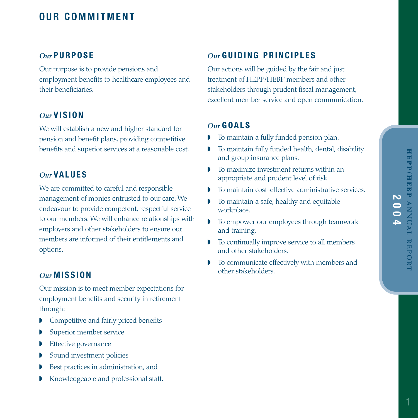#### *Our* **PURPOSE**

Our purpose is to provide pensions and employment benefits to healthcare employees and their beneficiaries.

#### *Our* **VISION**

We will establish a new and higher standard for pension and benefit plans, providing competitive benefits and superior services at a reasonable cost.

#### *Our* **VALUES**

We are committed to careful and responsible management of monies entrusted to our care. We endeavour to provide competent, respectful service to our members. We will enhance relationships with employers and other stakeholders to ensure our members are informed of their entitlements and options.

#### *Our* **MISSION**

Our mission is to meet member expectations for employment benefits and security in retirement through:

- ◗ Competitive and fairly priced benefits
- Superior member service
- **▶** Effective governance
- ◗ Sound investment policies
- ◗ Best practices in administration, and
- ◗ Knowledgeable and professional staff.

#### *Our* **GUIDING PRINCIPLES**

Our actions will be guided by the fair and just treatment of HEPP/HEBP members and other stakeholders through prudent fiscal management, excellent member service and open communication.

#### *Our* **GOALS**

- ◗ To maintain a fully funded pension plan.
- ◗ To maintain fully funded health, dental, disability and group insurance plans.
- ◗ To maximize investment returns within an appropriate and prudent level of risk.
- ◗ To maintain cost-effective administrative services.
- ◗ To maintain a safe, healthy and equitable workplace.
- ◗ To empower our employees through teamwork and training.
- ◗ To continually improve service to all members and other stakeholders.
- ◗ To communicate effectively with members and other stakeholders.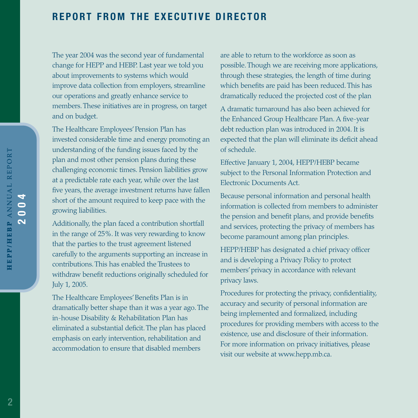## **REPORT FROM THE EXECUTIVE DIRECTOR**

The year 2004 was the second year of fundamental change for HEPP and HEBP. Last year we told you about improvements to systems which would improve data collection from employers, streamline our operations and greatly enhance service to members. These initiatives are in progress, on target and on budget.

The Healthcare Employees'Pension Plan has invested considerable time and energy promoting an understanding of the funding issues faced by the plan and most other pension plans during these challenging economic times. Pension liabilities grow at a predictable rate each year, while over the last five years, the average investment returns have fallen short of the amount required to keep pace with the growing liabilities.

Additionally, the plan faced a contribution shortfall in the range of 25%. It was very rewarding to know that the parties to the trust agreement listened carefully to the arguments supporting an increase in contributions. This has enabled the Trustees to withdraw benefit reductions originally scheduled for July 1, 2005.

The Healthcare Employees'Benefits Plan is in dramatically better shape than it was a year ago. The in-house Disability & Rehabilitation Plan has eliminated a substantial deficit. The plan has placed emphasis on early intervention, rehabilitation and accommodation to ensure that disabled members

are able to return to the workforce as soon as possible. Though we are receiving more applications, through these strategies, the length of time during which benefits are paid has been reduced. This has dramatically reduced the projected cost of the plan

A dramatic turnaround has also been achieved for the Enhanced Group Healthcare Plan. A five-year debt reduction plan was introduced in 2004. It is expected that the plan will eliminate its deficit ahead of schedule.

Effective January 1, 2004, HEPP/HEBP became subject to the Personal Information Protection and Electronic Documents Act.

Because personal information and personal health information is collected from members to administer the pension and benefit plans, and provide benefits and services, protecting the privacy of members has become paramount among plan principles.

HEPP/HEBP has designated a chief privacy officer and is developing a Privacy Policy to protect members'privacy in accordance with relevant privacy laws.

Procedures for protecting the privacy, confidentiality, accuracy and security of personal information are being implemented and formalized, including procedures for providing members with access to the existence, use and disclosure of their information. For more information on privacy initiatives, please visit our website at www.hepp.mb.ca.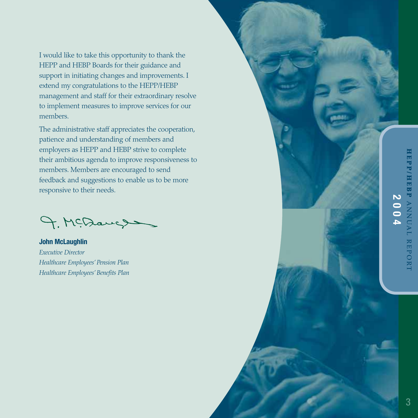I would like to take this opportunity to thank the HEPP and HEBP Boards for their guidance and support in initiating changes and improvements. I extend my congratulations to the HEPP/HEBP management and staff for their extraordinary resolve to implement measures to improve services for our members.

The administrative staff appreciates the cooperation, patience and understanding of members and employers as HEPP and HEBP strive to complete their ambitious agenda to improve responsiveness to members. Members are encouraged to send feedback and suggestions to enable us to be more responsive to their needs.

9. McDaugs

**John McLaughlin** *Executive Director Healthcare Employees' Pension Plan Healthcare Employees' Benefits Plan*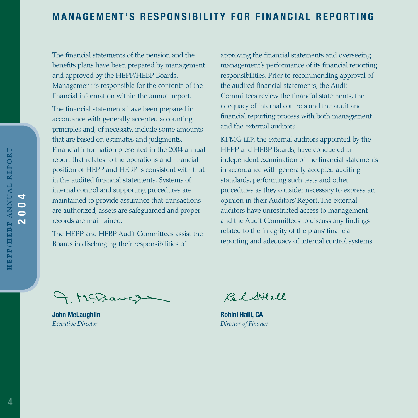## **MANAGEMENT'S RESPONSIBILITY FOR FINANCIAL REPORTING**

The financial statements of the pension and the benefits plans have been prepared by management and approved by the HEPP/HEBP Boards. Management is responsible for the contents of the financial information within the annual report.

The financial statements have been prepared in accordance with generally accepted accounting principles and, of necessity, include some amounts that are based on estimates and judgments. Financial information presented in the 2004 annual report that relates to the operations and financial position of HEPP and HEBP is consistent with that in the audited financial statements. Systems of internal control and supporting procedures are maintained to provide assurance that transactions are authorized, assets are safeguarded and proper records are maintained.

The HEPP and HEBP Audit Committees assist the Boards in discharging their responsibilities of

approving the financial statements and overseeing management's performance of its financial reporting responsibilities. Prior to recommending approval of the audited financial statements, the Audit Committees review the financial statements, the adequacy of internal controls and the audit and financial reporting process with both management and the external auditors.

KPMG LLP, the external auditors appointed by the HEPP and HEBP Boards, have conducted an independent examination of the financial statements in accordance with generally accepted auditing standards, performing such tests and other procedures as they consider necessary to express an opinion in their Auditors'Report. The external auditors have unrestricted access to management and the Audit Committees to discuss any findings related to the integrity of the plans'financial reporting and adequacy of internal control systems.

4. McDauch

**John McLaughlin**  *Executive Director*

Calstell.

**Rohini Halli, CA** *Director of Finance*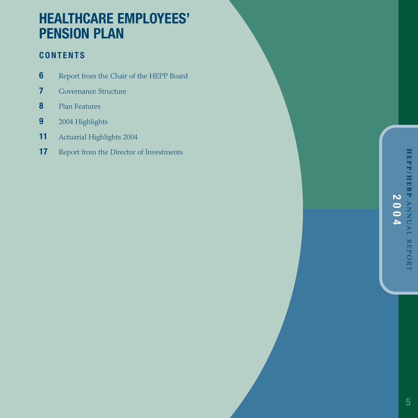# **HEALTHCARE EMPLOYEES' PENSION PLAN**

## **CONTENTS**

- **6** Report from the Chair of the HEPP Board
- **7** Governance Structure
- **8** Plan Features
- **9** 2004 Highlights
- **11** Actuarial Highlights 2004
- **17** Report from the Director of Investments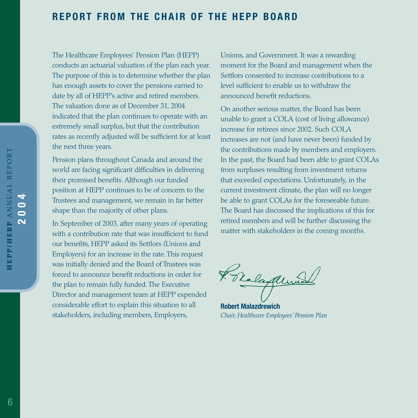## **REPORT FROM THE CHAIR OF THE HEPP BOARD**

The Healthcare Employees' Pension Plan (HEPP) conducts an actuarial valuation of the plan each year. The purpose of this is to determine whether the plan has enough assets to cover the pensions earned to date by all of HEPP's active and retired members. The valuation done as of December 31, 2004 indicated that the plan continues to operate with an extremely small surplus, but that the contribution rates as recently adjusted will be sufficient for at least the next three years.

Pension plans throughout Canada and around the world are facing significant difficulties in delivering their promised benefits. Although our funded position at HEPP continues to be of concern to the Trustees and management, we remain in far better shape than the majority of other plans.

In September of 2003, after many years of operating with a contribution rate that was insufficient to fund our benefits, HEPP asked its Settlors (Unions and Employers) for an increase in the rate. This request was initially denied and the Board of Trustees was forced to announce benefit reductions in order for the plan to remain fully funded. The Executive Director and management team at HEPP expended considerable effort to explain this situation to all stakeholders, including members, Employers,

Unions, and Government. It was a rewarding moment for the Board and management when the Settlors consented to increase contributions to a level sufficient to enable us to withdraw the announced benefit reductions.

On another serious matter, the Board has been unable to grant a COLA (cost of living allowance) increase for retirees since 2002. Such COLA increases are not (and have never been) funded by the contributions made by members and employers. In the past, the Board had been able to grant COLAs from surpluses resulting from investment returns that exceeded expectations. Unfortunately, in the current investment climate, the plan will no longer be able to grant COLAs for the foreseeable future. The Board has discussed the implications of this for retired members and will be further discussing the matter with stakeholders in the coming months.

Fraladum

**Robert Malazdrewich** *Chair, Healthcare Employees' Pension Plan*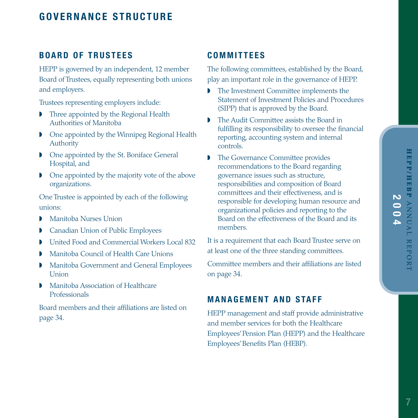## **GOVERNANCE STRUCTURE**

#### **BOARD OF TRUSTEES**

HEPP is governed by an independent, 12 member Board of Trustees, equally representing both unions and employers.

Trustees representing employers include:

- ◗ Three appointed by the Regional Health Authorities of Manitoba
- ◗ One appointed by the Winnipeg Regional Health Authority
- ◗ One appointed by the St. Boniface General Hospital, and
- ◗ One appointed by the majority vote of the above organizations.

One Trustee is appointed by each of the following unions:

- ◗ Manitoba Nurses Union
- ◗ Canadian Union of Public Employees
- ◗ United Food and Commercial Workers Local 832
- ◗ Manitoba Council of Health Care Unions
- ◗ Manitoba Government and General Employees Union
- ◗ Manitoba Association of Healthcare Professionals

Board members and their affiliations are listed on page 34.

#### **COMMITTEES**

The following committees, established by the Board, play an important role in the governance of HEPP.

- ◗ The Investment Committee implements the Statement of Investment Policies and Procedures (SIPP) that is approved by the Board.
- ◗ The Audit Committee assists the Board in fulfilling its responsibility to oversee the financial reporting, accounting system and internal controls.
- ◗ The Governance Committee provides recommendations to the Board regarding governance issues such as structure, responsibilities and composition of Board committees and their effectiveness, and is responsible for developing human resource and organizational policies and reporting to the Board on the effectiveness of the Board and its members.

It is a requirement that each Board Trustee serve on at least one of the three standing committees.

Committee members and their affiliations are listed on page 34.

#### **MANAGEMENT AND STAFF**

HEPP management and staff provide administrative and member services for both the Healthcare Employees'Pension Plan (HEPP) and the Healthcare Employees'Benefits Plan (HEBP).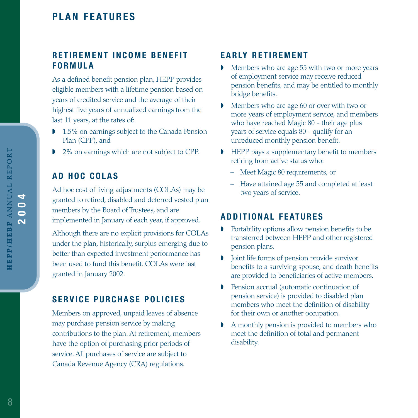## **PLAN FEATURES**

#### **RETIREMENT INCOME BENEFIT FORMULA**

As a defined benefit pension plan, HEPP provides eligible members with a lifetime pension based on years of credited service and the average of their highest five years of annualized earnings from the last 11 years, at the rates of:

- ◗ 1.5% on earnings subject to the Canada Pension Plan (CPP), and
- ◗ 2% on earnings which are not subject to CPP.

#### **AD HOC COLAS**

Ad hoc cost of living adjustments (COLAs) may be granted to retired, disabled and deferred vested plan members by the Board of Trustees, and are implemented in January of each year, if approved.

Although there are no explicit provisions for COLAs under the plan, historically, surplus emerging due to better than expected investment performance has been used to fund this benefit. COLAs were last granted in January 2002.

#### **SERVICE PURCHASE POLICIES**

Members on approved, unpaid leaves of absence may purchase pension service by making contributions to the plan. At retirement, members have the option of purchasing prior periods of service. All purchases of service are subject to Canada Revenue Agency (CRA) regulations.

#### **EARLY RETIREMENT**

- ◗ Members who are age 55 with two or more years of employment service may receive reduced pension benefits, and may be entitled to monthly bridge benefits.
- ◗ Members who are age 60 or over with two or more years of employment service, and members who have reached Magic 80 - their age plus years of service equals 80 - qualify for an unreduced monthly pension benefit.
- ◗ HEPP pays a supplementary benefit to members retiring from active status who:
	- Meet Magic 80 requirements, or
	- Have attained age 55 and completed at least two years of service.

#### **ADDITIONAL FEATURES**

- ◗ Portability options allow pension benefits to be transferred between HEPP and other registered pension plans.
- ◗ Joint life forms of pension provide survivor benefits to a surviving spouse, and death benefits are provided to beneficiaries of active members.
- ◗ Pension accrual (automatic continuation of pension service) is provided to disabled plan members who meet the definition of disability for their own or another occupation.
- ◗ A monthly pension is provided to members who meet the definition of total and permanent disability.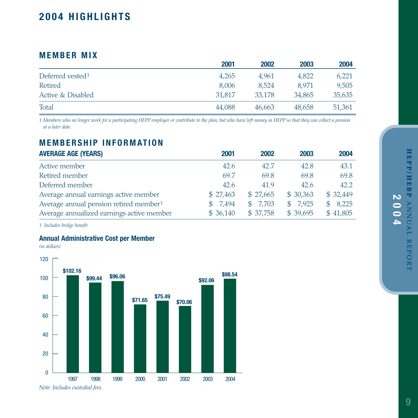# HEPP/HEBP ANNUAL REPORT **HEPP/HEBP 2004 ANNUAL REPORT**

## **2004 HIGHLIGHTS**

#### **MEMBER MIX**

|                              | 2001   | 2002   | 2003   | 2004   |
|------------------------------|--------|--------|--------|--------|
| Deferred vested <sup>1</sup> | 4.265  | 4.961  | 4,822  | 6.221  |
| Retired                      | 8.006  | 8.524  | 8.971  | 9.505  |
| Active & Disabled            | 31,817 | 33,178 | 34,865 | 35,635 |
| Total                        | 44.088 | 46.663 | 48.658 | 51,361 |

*1 Members who no longer work for a participating HEPP employer or contribute to the plan, but who have left money in HEPP so that they can collect a pension at a later date.*

## **MEMBERSHIP INFORMATION**

| <b>AVERAGE AGE (YEARS)</b>                         | 2001         | 2002     | 2003     | 2004                  |
|----------------------------------------------------|--------------|----------|----------|-----------------------|
| Active member                                      | 42.6         | 42.7     | 42.8     | 43.1                  |
| Retired member                                     | 69.7         | 69.8     | 69.8     | 69.8                  |
| Deferred member                                    | 42.6         | 41.9     | 42.6     | 42.2                  |
| Average annual earnings active member              | \$27.463     | \$27.665 | \$30,363 | \$32,449              |
| Average annual pension retired member <sup>1</sup> | 7,494<br>\$. | \$7,703  | \$7,925  | 8,225<br>$\mathbb{S}$ |
| Average annualized earnings active member          | \$36,140     | \$37,758 | \$39,695 | \$41,805              |

*1 Includes bridge benefit*

#### **Annual Administrative Cost per Member**

*(in dollars)*



9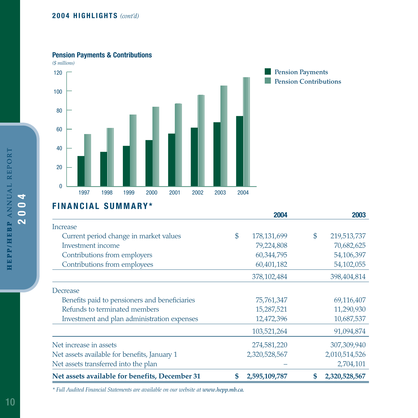#### **2004 HIGHLIGHTS** *(cont'd)*

#### **Pension Payments & Contributions**



#### **Pension Payments Pension Contributions**

## **FINANCIAL SUMMARY\***

|                                                |    | 2004          | 2003              |
|------------------------------------------------|----|---------------|-------------------|
| Increase                                       |    |               |                   |
| Current period change in market values         | \$ | 178, 131, 699 | \$<br>219,513,737 |
| Investment income                              |    | 79,224,808    | 70,682,625        |
| Contributions from employers                   |    | 60,344,795    | 54,106,397        |
| Contributions from employees                   |    | 60,401,182    | 54,102,055        |
|                                                |    | 378, 102, 484 | 398,404,814       |
| Decrease                                       |    |               |                   |
| Benefits paid to pensioners and beneficiaries  |    | 75,761,347    | 69,116,407        |
| Refunds to terminated members                  |    | 15,287,521    | 11,290,930        |
| Investment and plan administration expenses    |    | 12,472,396    | 10,687,537        |
|                                                |    | 103,521,264   | 91,094,874        |
| Net increase in assets                         |    | 274,581,220   | 307,309,940       |
| Net assets available for benefits, January 1   |    | 2,320,528,567 | 2,010,514,526     |
| Net assets transferred into the plan           |    |               | 2,704,101         |
| Net assets available for benefits, December 31 | S  | 2,595,109,787 | 2,320,528,567     |

*\* Full Audited Financial Statements are available on our website at www.hepp.mb.ca.*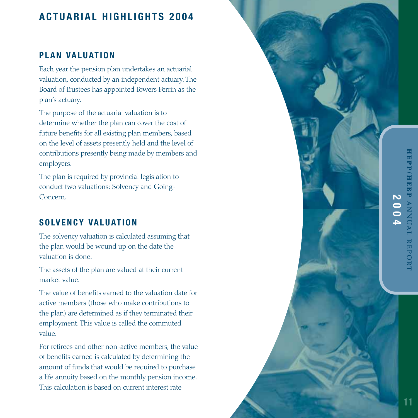## **ACTUARIAL HIGHLIGHTS 2004**

## **PLAN VALUATION**

Each year the pension plan undertakes an actuarial valuation, conducted by an independent actuary. The Board of Trustees has appointed Towers Perrin as the plan's actuary.

The purpose of the actuarial valuation is to determine whether the plan can cover the cost of future benefits for all existing plan members, based on the level of assets presently held and the level of contributions presently being made by members and employers.

The plan is required by provincial legislation to conduct two valuations: Solvency and Going-Concern.

## **SOLVENCY VALUATION**

The solvency valuation is calculated assuming that the plan would be wound up on the date the valuation is done.

The assets of the plan are valued at their current market value.

The value of benefits earned to the valuation date for active members (those who make contributions to the plan) are determined as if they terminated their employment. This value is called the commuted value.

For retirees and other non-active members, the value of benefits earned is calculated by determining the amount of funds that would be required to purchase a life annuity based on the monthly pension income. This calculation is based on current interest rate

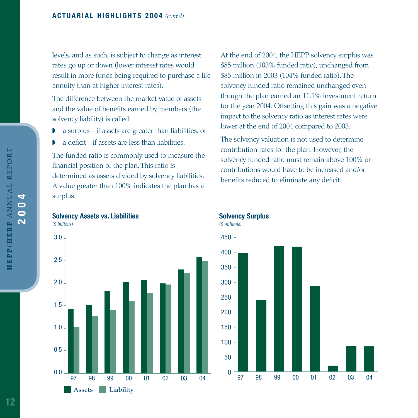levels, and as such, is subject to change as interest rates go up or down (lower interest rates would result in more funds being required to purchase a life annuity than at higher interest rates).

The difference between the market value of assets and the value of benefits earned by members (the solvency liability) is called:

- ◗ a surplus if assets are greater than liabilities, or
- ◗ a deficit if assets are less than liabilities.

The funded ratio is commonly used to measure the financial position of the plan. This ratio is determined as assets divided by solvency liabilities. A value greater than 100% indicates the plan has a surplus.





At the end of 2004, the HEPP solvency surplus was \$85 million (103% funded ratio), unchanged from \$85 million in 2003 (104% funded ratio). The solvency funded ratio remained unchanged even though the plan earned an 11.1% investment return for the year 2004. Offsetting this gain was a negative impact to the solvency ratio as interest rates were lower at the end of 2004 compared to 2003.

The solvency valuation is not used to determine contribution rates for the plan. However, the solvency funded ratio must remain above 100% or contributions would have to be increased and/or benefits reduced to eliminate any deficit.

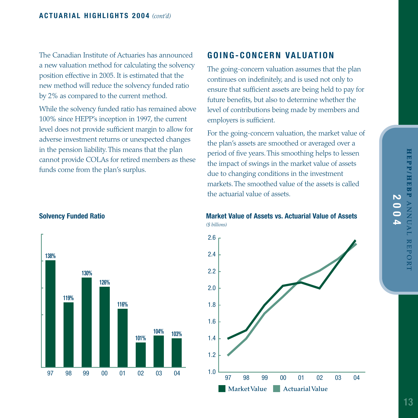The Canadian Institute of Actuaries has announced a new valuation method for calculating the solvency position effective in 2005. It is estimated that the new method will reduce the solvency funded ratio by 2% as compared to the current method.

While the solvency funded ratio has remained above 100% since HEPP's inception in 1997, the current level does not provide sufficient margin to allow for adverse investment returns or unexpected changes in the pension liability. This means that the plan cannot provide COLAs for retired members as these funds come from the plan's surplus.

## **GOING-CONCERN VALUATION**

The going-concern valuation assumes that the plan continues on indefinitely, and is used not only to ensure that sufficient assets are being held to pay for future benefits, but also to determine whether the level of contributions being made by members and employers is sufficient.

For the going-concern valuation, the market value of the plan's assets are smoothed or averaged over a period of five years. This smoothing helps to lessen the impact of swings in the market value of assets due to changing conditions in the investment markets. The smoothed value of the assets is called the actuarial value of assets.



**Solvency Funded Ratio <b>Market Value of Assets vs. Actuarial Value of Assets** Solvency Funded Ratio *(\$ billions)*

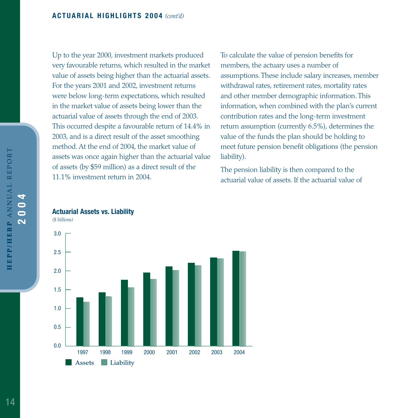Up to the year 2000, investment markets produced very favourable returns, which resulted in the market value of assets being higher than the actuarial assets. For the years 2001 and 2002, investment returns were below long-term expectations, which resulted in the market value of assets being lower than the actuarial value of assets through the end of 2003. This occurred despite a favourable return of 14.4% in 2003, and is a direct result of the asset smoothing method. At the end of 2004, the market value of assets was once again higher than the actuarial value of assets (by \$59 million) as a direct result of the 11.1% investment return in 2004.

To calculate the value of pension benefits for members, the actuary uses a number of assumptions. These include salary increases, member withdrawal rates, retirement rates, mortality rates and other member demographic information. This information, when combined with the plan's current contribution rates and the long-term investment return assumption (currently 6.5%), determines the value of the funds the plan should be holding to meet future pension benefit obligations (the pension liability).

The pension liability is then compared to the actuarial value of assets. If the actuarial value of

#### **Actuarial Assets vs. Liability**

*(\$ billions)* 

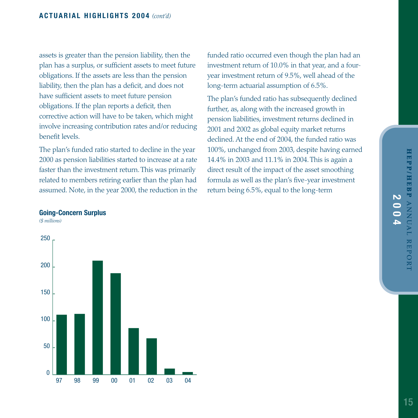assets is greater than the pension liability, then the plan has a surplus, or sufficient assets to meet future obligations. If the assets are less than the pension liability, then the plan has a deficit, and does not have sufficient assets to meet future pension obligations. If the plan reports a deficit, then corrective action will have to be taken, which might involve increasing contribution rates and/or reducing benefit levels.

The plan's funded ratio started to decline in the year 2000 as pension liabilities started to increase at a rate faster than the investment return. This was primarily related to members retiring earlier than the plan had assumed. Note, in the year 2000, the reduction in the funded ratio occurred even though the plan had an investment return of 10.0% in that year, and a fouryear investment return of 9.5%, well ahead of the long-term actuarial assumption of 6.5%.

The plan's funded ratio has subsequently declined further, as, along with the increased growth in pension liabilities, investment returns declined in 2001 and 2002 as global equity market returns declined. At the end of 2004, the funded ratio was 100%, unchanged from 2003, despite having earned 14.4% in 2003 and 11.1% in 2004. This is again a direct result of the impact of the asset smoothing formula as well as the plan's five-year investment return being 6.5%, equal to the long-term

#### **Going-Concern Surplus**

*(\$ millions)*

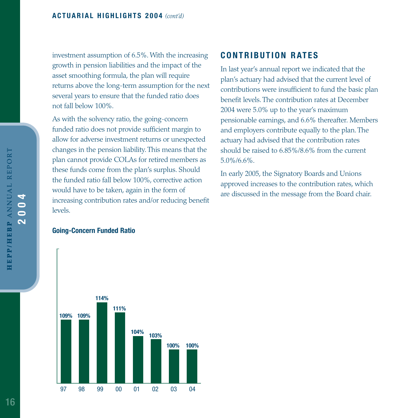investment assumption of 6.5%. With the increasing growth in pension liabilities and the impact of the asset smoothing formula, the plan will require returns above the long-term assumption for the next several years to ensure that the funded ratio does not fall below 100%.

As with the solvency ratio, the going-concern funded ratio does not provide sufficient margin to allow for adverse investment returns or unexpected changes in the pension liability. This means that the plan cannot provide COLAs for retired members as these funds come from the plan's surplus. Should the funded ratio fall below 100%, corrective action would have to be taken, again in the form of increasing contribution rates and/or reducing benefit levels.

#### **Going-Concern Funded Ratio**



#### **CONTRIBUTION RATES**

In last year's annual report we indicated that the plan's actuary had advised that the current level of contributions were insufficient to fund the basic plan benefit levels. The contribution rates at December 2004 were 5.0% up to the year's maximum pensionable earnings, and 6.6% thereafter. Members and employers contribute equally to the plan. The actuary had advised that the contribution rates should be raised to 6.85%/8.6% from the current 5.0%/6.6%.

In early 2005, the Signatory Boards and Unions approved increases to the contribution rates, which are discussed in the message from the Board chair.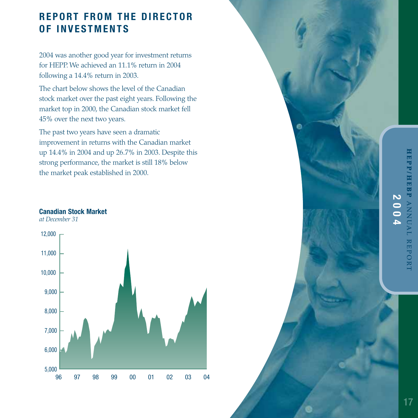## **REPORT FROM THE DIRECTOR OF INVESTMENTS**

2004 was another good year for investment returns for HEPP. We achieved an 11.1% return in 2004 following a 14.4% return in 2003.

The chart below shows the level of the Canadian stock market over the past eight years. Following the market top in 2000, the Canadian stock market fell 45% over the next two years.

The past two years have seen a dramatic improvement in returns with the Canadian market up 14.4% in 2004 and up 26.7% in 2003. Despite this strong performance, the market is still 18% below the market peak established in 2000.

#### **Canadian Stock Market**

*at December 31*



⋒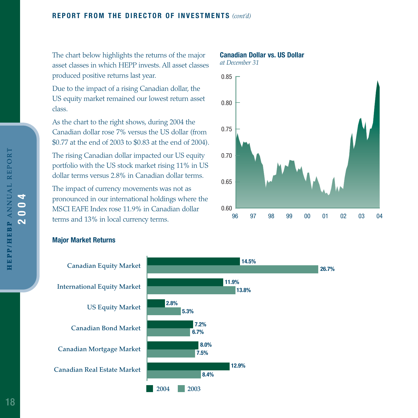#### **REPORT FROM THE DIRECTOR OF INVESTMENTS** *(cont'd)*

The chart below highlights the returns of the major asset classes in which HEPP invests. All asset classes produced positive returns last year.

Due to the impact of a rising Canadian dollar, the US equity market remained our lowest return asset class.

As the chart to the right shows, during 2004 the Canadian dollar rose 7% versus the US dollar (from \$0.77 at the end of 2003 to \$0.83 at the end of 2004).

The rising Canadian dollar impacted our US equity portfolio with the US stock market rising 11% in US dollar terms versus 2.8% in Canadian dollar terms.

The impact of currency movements was not as pronounced in our international holdings where the MSCI EAFE Index rose 11.9% in Canadian dollar terms and 13% in local currency terms.

#### **Canadian Dollar vs. US Dollar**



#### **Major Market Returns**

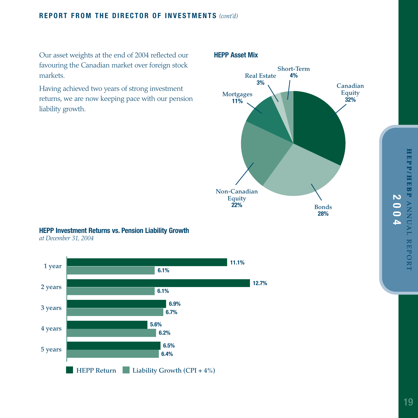#### **REPORT FROM THE DIRECTOR OF INVESTMENTS** *(cont'd)*

Our asset weights at the end of 2004 reflected our favouring the Canadian market over foreign stock markets.

Having achieved two years of strong investment returns, we are now keeping pace with our pension liability growth.

#### **HEPP Asset Mix**



#### **HEPP Investment Returns vs. Pension Liability Growth**

*at December 31, 2004*

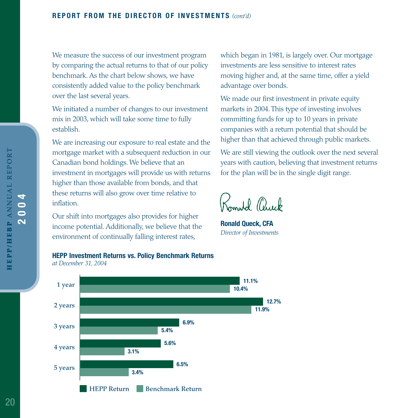We measure the success of our investment program by comparing the actual returns to that of our policy benchmark. As the chart below shows, we have consistently added value to the policy benchmark over the last several years.

We initiated a number of changes to our investment mix in 2003, which will take some time to fully establish.

We are increasing our exposure to real estate and the mortgage market with a subsequent reduction in our Canadian bond holdings. We believe that an investment in mortgages will provide us with returns higher than those available from bonds, and that these returns will also grow over time relative to inflation.

Our shift into mortgages also provides for higher income potential. Additionally, we believe that the environment of continually falling interest rates,

which began in 1981, is largely over. Our mortgage investments are less sensitive to interest rates moving higher and, at the same time, offer a yield advantage over bonds.

We made our first investment in private equity markets in 2004. This type of investing involves committing funds for up to 10 years in private companies with a return potential that should be higher than that achieved through public markets.

We are still viewing the outlook over the next several years with caution, believing that investment returns for the plan will be in the single digit range.

Romald Chuck

**Ronald Queck, CFA** *Director of Investments*



*at December 31, 2004*

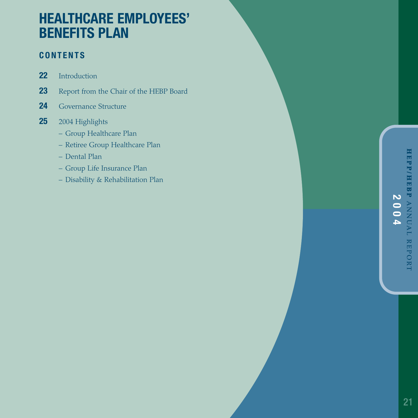# **HEALTHCARE EMPLOYEES' BENEFITS PLAN**

## **CONTENTS**

- **22** Introduction
- **23** Report from the Chair of the HEBP Board
- **24** Governance Structure
- **25** 2004 Highlights
	- Group Healthcare Plan
	- Retiree Group Healthcare Plan
	- Dental Plan
	- Group Life Insurance Plan
	- Disability & Rehabilitation Plan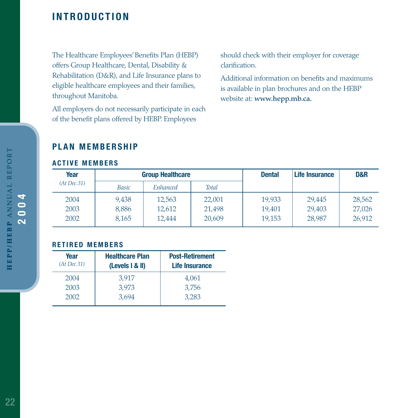## **INTRODUCTION**

The Healthcare Employees'Benefits Plan (HEBP) offers Group Healthcare, Dental, Disability & Rehabilitation (D&R), and Life Insurance plans to eligible healthcare employees and their families, throughout Manitoba.

All employers do not necessarily participate in each of the benefit plans offered by HEBP. Employees

should check with their employer for coverage clarification.

Additional information on benefits and maximums is available in plan brochures and on the HEBP website at: **www.hepp.mb.ca.**

#### **PLAN MEMBERSHIP**

#### **ACTIVE MEMBERS**

| Year        |              | <b>Group Healthcare</b> |              | <b>Dental</b> | Life Insurance | D&R    |
|-------------|--------------|-------------------------|--------------|---------------|----------------|--------|
| (At Dec.31) | <b>Basic</b> | Enhanced                | <b>Total</b> |               |                |        |
| 2004        | 9,438        | 12,563                  | 22,001       | 19,933        | 29.445         | 28,562 |
| 2003        | 8,886        | 12,612                  | 21,498       | 19.401        | 29,403         | 27,026 |
| 2002        | 8,165        | 12,444                  | 20,609       | 19.153        | 28,987         | 26,912 |

#### **RETIRED MEMBERS**

| Year<br>(At Dec.31) | <b>Healthcare Plan</b><br>(Levels I & II) | <b>Post-Retirement</b><br><b>Life Insurance</b> |
|---------------------|-------------------------------------------|-------------------------------------------------|
| 2004                | 3.917                                     | 4,061                                           |
| 2003                | 3,973                                     | 3,756                                           |
| 2002                | 3.694                                     | 3.283                                           |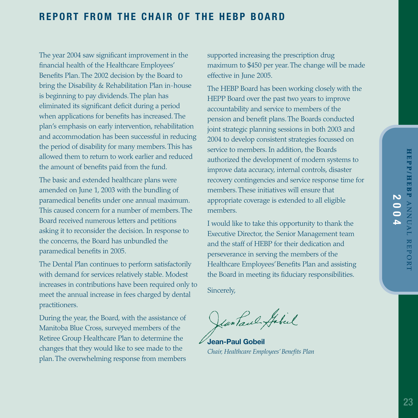## **REPORT FROM THE CHAIR OF THE HEBP BOARD**

The year 2004 saw significant improvement in the financial health of the Healthcare Employees' Benefits Plan. The 2002 decision by the Board to bring the Disability & Rehabilitation Plan in-house is beginning to pay dividends. The plan has eliminated its significant deficit during a period when applications for benefits has increased. The plan's emphasis on early intervention, rehabilitation and accommodation has been successful in reducing the period of disability for many members. This has allowed them to return to work earlier and reduced the amount of benefits paid from the fund.

The basic and extended healthcare plans were amended on June 1, 2003 with the bundling of paramedical benefits under one annual maximum. This caused concern for a number of members. The Board received numerous letters and petitions asking it to reconsider the decision. In response to the concerns, the Board has unbundled the paramedical benefits in 2005.

The Dental Plan continues to perform satisfactorily with demand for services relatively stable. Modest increases in contributions have been required only to meet the annual increase in fees charged by dental practitioners.

During the year, the Board, with the assistance of Manitoba Blue Cross, surveyed members of the Retiree Group Healthcare Plan to determine the changes that they would like to see made to the plan. The overwhelming response from members

supported increasing the prescription drug maximum to \$450 per year. The change will be made effective in June 2005.

The HEBP Board has been working closely with the HEPP Board over the past two years to improve accountability and service to members of the pension and benefit plans. The Boards conducted joint strategic planning sessions in both 2003 and 2004 to develop consistent strategies focussed on service to members. In addition, the Boards authorized the development of modern systems to improve data accuracy, internal controls, disaster recovery contingencies and service response time for members. These initiatives will ensure that appropriate coverage is extended to all eligible members.

I would like to take this opportunity to thank the Executive Director, the Senior Management team and the staff of HEBP for their dedication and perseverance in serving the members of the Healthcare Employees'Benefits Plan and assisting the Board in meeting its fiduciary responsibilities.

Sincerely,

Jean Paul Gabil

**Jean-Paul Gobeil** *Chair, Healthcare Employees' Benefits Plan*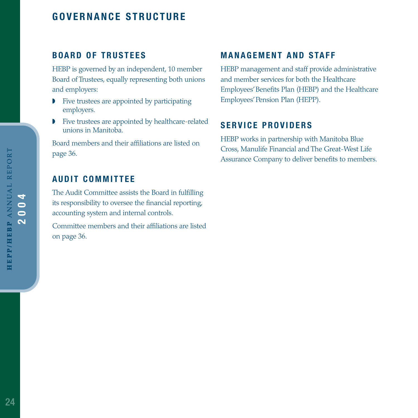## **GOVERNANCE STRUCTURE**

## **BOARD OF TRUSTEES**

HEBP is governed by an independent, 10 member Board of Trustees, equally representing both unions and employers:

- ◗ Five trustees are appointed by participating employers.
- ◗ Five trustees are appointed by healthcare-related unions in Manitoba.

Board members and their affiliations are listed on page 36.

## **AUDIT COMMITTEE**

The Audit Committee assists the Board in fulfilling its responsibility to oversee the financial reporting, accounting system and internal controls.

Committee members and their affiliations are listed on page 36.

## **MANAGEMENT AND STAFF**

HEBP management and staff provide administrative and member services for both the Healthcare Employees'Benefits Plan (HEBP) and the Healthcare Employees'Pension Plan (HEPP).

#### **SERVICE PROVIDERS**

HEBP works in partnership with Manitoba Blue Cross, Manulife Financial and The Great-West Life Assurance Company to deliver benefits to members.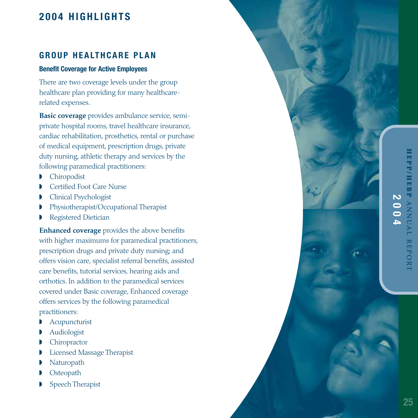## **2004 HIGHLIGHTS**

#### **GROUP HEALTHCARE PLAN**

#### **Benefit Coverage for Active Employees**

There are two coverage levels under the group healthcare plan providing for many healthcarerelated expenses.

**Basic coverage** provides ambulance service, semiprivate hospital rooms, travel healthcare insurance, cardiac rehabilitation, prosthetics, rental or purchase of medical equipment, prescription drugs, private duty nursing, athletic therapy and services by the following paramedical practitioners:

- ◗ Chiropodist
- ◗ Certified Foot Care Nurse
- ◗ Clinical Psychologist
- ◗ Physiotherapist/Occupational Therapist
- ◗ Registered Dietician

**Enhanced coverage** provides the above benefits with higher maximums for paramedical practitioners, prescription drugs and private duty nursing; and offers vision care, specialist referral benefits, assisted care benefits, tutorial services, hearing aids and orthotics. In addition to the paramedical services covered under Basic coverage, Enhanced coverage offers services by the following paramedical practitioners:

- ◗ Acupuncturist
- ◗ Audiologist
- **Chiropractor**
- ◗ Licensed Massage Therapist
- **Naturopath**
- ◗ Osteopath
- ◗ Speech Therapist

**HEPP/HEBP IEP/HEBP ANNUAL REPORT 2004ANNUAL REPORT**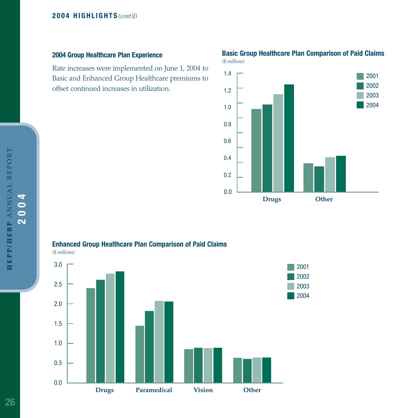**2004 Group Healthcare Plan Experience**

Rate increases were implemented on June 1, 2004 to Basic and Enhanced Group Healthcare premiums to offset continued increases in utilization.

#### 0.0 0.2 0.4 0.6 0.8 1.0 1.2 1.4 **Drugs Other** 2001 2002 2003 2004

#### **Basic Group Healthcare Plan Comparison of Paid Claims** *(\$ millions)*



#### **Enhanced Group Healthcare Plan Comparison of Paid Claims**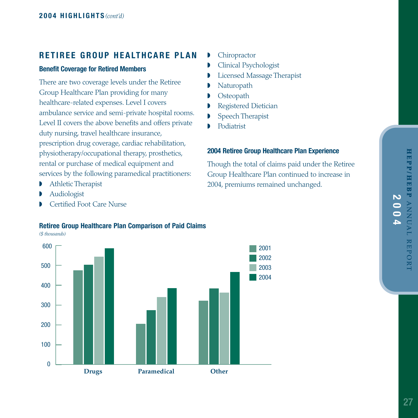#### **RETIREE GROUP HEALTHCARE PLAN**

#### **Benefit Coverage for Retired Members**

There are two coverage levels under the Retiree Group Healthcare Plan providing for many healthcare-related expenses. Level I covers ambulance service and semi-private hospital rooms. Level II covers the above benefits and offers private duty nursing, travel healthcare insurance, prescription drug coverage, cardiac rehabilitation, physiotherapy/occupational therapy, prosthetics, rental or purchase of medical equipment and services by the following paramedical practitioners:

- ◗ Athletic Therapist
- ◗ Audiologist
- Certified Foot Care Nurse

#### ◗ Chiropractor

- ◗ Clinical Psychologist
- ◗ Licensed Massage Therapist
- **Naturopath**
- **Osteopath**
- ◗ Registered Dietician
- ◗ Speech Therapist
- ◗ Podiatrist

#### **2004 Retiree Group Healthcare Plan Experience**

Though the total of claims paid under the Retiree Group Healthcare Plan continued to increase in 2004, premiums remained unchanged.



## **Retiree Group Healthcare Plan Comparison of Paid Claims**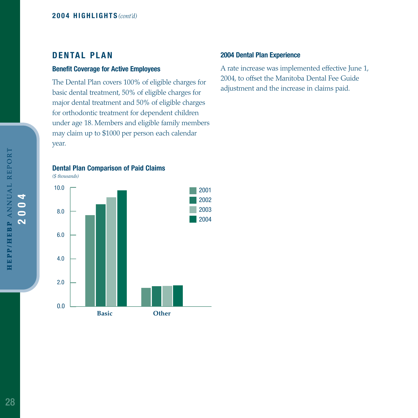#### **DENTAL PLAN**

#### **Benefit Coverage for Active Employees**

The Dental Plan covers 100% of eligible charges for basic dental treatment, 50% of eligible charges for major dental treatment and 50% of eligible charges for orthodontic treatment for dependent children under age 18. Members and eligible family members may claim up to \$1000 per person each calendar year.

**Dental Plan Comparison of Paid Claims**



#### **2004 Dental Plan Experience**

A rate increase was implemented effective June 1, 2004, to offset the Manitoba Dental Fee Guide adjustment and the increase in claims paid.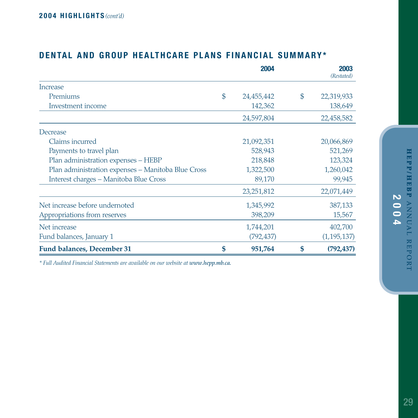|                                                    | 2004             | 2003<br>(Restated) |
|----------------------------------------------------|------------------|--------------------|
| Increase                                           |                  |                    |
| Premiums                                           | \$<br>24,455,442 | \$<br>22,319,933   |
| Investment income                                  | 142,362          | 138,649            |
|                                                    | 24,597,804       | 22,458,582         |
| Decrease                                           |                  |                    |
| Claims incurred                                    | 21,092,351       | 20,066,869         |
| Payments to travel plan                            | 528,943          | 521,269            |
| Plan administration expenses - HEBP                | 218,848          | 123,324            |
| Plan administration expenses - Manitoba Blue Cross | 1,322,500        | 1,260,042          |
| Interest charges - Manitoba Blue Cross             | 89,170           | 99,945             |
|                                                    | 23, 251, 812     | 22,071,449         |
| Net increase before undernoted                     | 1,345,992        | 387,133            |
| Appropriations from reserves                       | 398,209          | 15,567             |
| Net increase                                       | 1,744,201        | 402,700            |
| Fund balances, January 1                           | (792, 437)       | (1, 195, 137)      |
| <b>Fund balances, December 31</b>                  | \$<br>951,764    | \$<br>(792, 437)   |

## **DENTAL AND GROUP HEALTHCARE PLANS FINANCIAL SUMMARY\***

*\* Full Audited Financial Statements are available on our website at www.hepp.mb.ca.*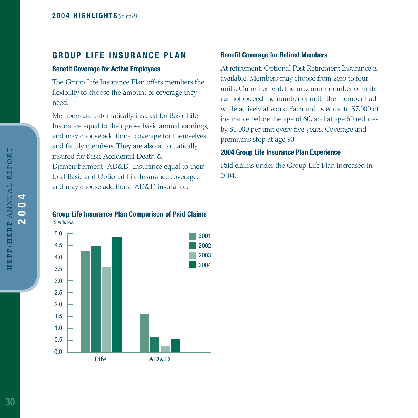#### **GROUP LIFE INSURANCE PLAN**

#### **Benefit Coverage for Active Employees**

The Group Life Insurance Plan offers members the flexibility to choose the amount of coverage they need.

Members are automatically insured for Basic Life Insurance equal to their gross basic annual earnings, and may choose additional coverage for themselves and family members. They are also automatically insured for Basic Accidental Death & Dismemberment (AD&D) Insurance equal to their total Basic and Optional Life Insurance coverage, and may choose additional AD&D insurance.

#### **Benefit Coverage for Retired Members**

At retirement, Optional Post Retirement Insurance is available. Members may choose from zero to four units. On retirement, the maximum number of units cannot exceed the number of units the member had while actively at work. Each unit is equal to \$7,000 of insurance before the age of 60, and at age 60 reduces by \$1,000 per unit every five years. Coverage and premiums stop at age 90.

#### **2004 Group Life Insurance Plan Experience**

Paid claims under the Group Life Plan increased in 2004.

#### **Group Life Insurance Plan Comparison of Paid Claims** *(\$ millions)*

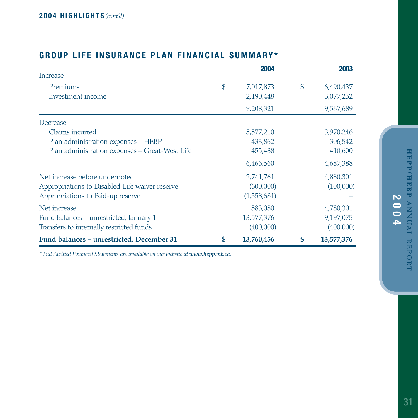## **GROUP LIFE INSURANCE PLAN FINANCIAL SUMMARY\***

|                                                |               | 2004        | 2003             |
|------------------------------------------------|---------------|-------------|------------------|
| Increase                                       |               |             |                  |
| Premiums                                       | $\mathcal{S}$ | 7,017,873   | \$<br>6,490,437  |
| Investment income                              |               | 2,190,448   | 3,077,252        |
|                                                |               | 9,208,321   | 9,567,689        |
| Decrease                                       |               |             |                  |
| Claims incurred                                |               | 5,577,210   | 3,970,246        |
| Plan administration expenses - HEBP            |               | 433,862     | 306,542          |
| Plan administration expenses - Great-West Life |               | 455,488     | 410,600          |
|                                                |               | 6,466,560   | 4,687,388        |
| Net increase before undernoted                 |               | 2,741,761   | 4,880,301        |
| Appropriations to Disabled Life waiver reserve |               | (600,000)   | (100,000)        |
| Appropriations to Paid-up reserve              |               | (1,558,681) |                  |
| Net increase                                   |               | 583,080     | 4,780,301        |
| Fund balances – unrestricted, January 1        |               | 13,577,376  | 9,197,075        |
| Transfers to internally restricted funds       |               | (400,000)   | (400,000)        |
| Fund balances - unrestricted, December 31      | \$            | 13,760,456  | \$<br>13,577,376 |

*\* Full Audited Financial Statements are available on our website at www.hepp.mb.ca.*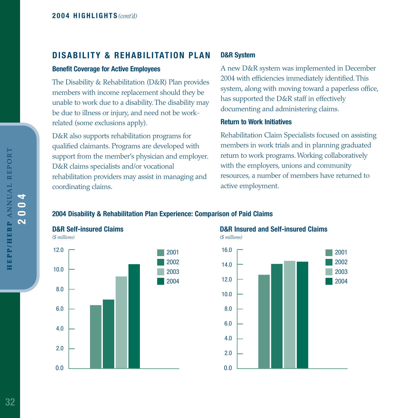#### **DISABILITY & REHABILITATION PLAN**

#### **Benefit Coverage for Active Employees**

The Disability & Rehabilitation (D&R) Plan provides members with income replacement should they be unable to work due to a disability. The disability may be due to illness or injury, and need not be workrelated (some exclusions apply).

D&R also supports rehabilitation programs for qualified claimants. Programs are developed with support from the member's physician and employer. D&R claims specialists and/or vocational rehabilitation providers may assist in managing and coordinating claims.

#### **D&R System**

A new D&R system was implemented in December 2004 with efficiencies immediately identified. This system, along with moving toward a paperless office, has supported the D&R staff in effectively documenting and administering claims.

#### **Return to Work Initiatives**

Rehabilitation Claim Specialists focused on assisting members in work trials and in planning graduated return to work programs. Working collaboratively with the employers, unions and community resources, a number of members have returned to active employment.

#### **2004 Disability & Rehabilitation Plan Experience: Comparison of Paid Claims**



## **D&R Insured and Self-insured Claims**



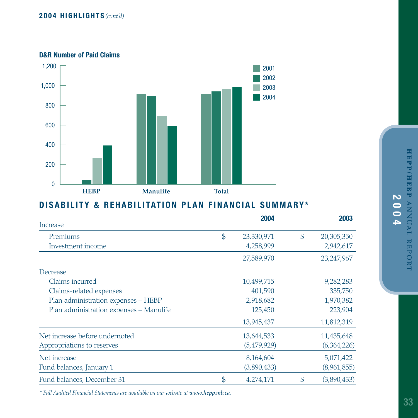#### **D&R Number of Paid Claims**



## **DISABILITY & REHABILITATION PLAN FINANCIAL SUMMARY\***

| Increase                                | 2004             | 2003              |
|-----------------------------------------|------------------|-------------------|
| Premiums                                | \$<br>23,330,971 | \$<br>20,305,350  |
| Investment income                       | 4,258,999        | 2,942,617         |
|                                         | 27,589,970       | 23,247,967        |
| Decrease                                |                  |                   |
| Claims incurred                         | 10,499,715       | 9,282,283         |
| Claims-related expenses                 | 401,590          | 335,750           |
| Plan administration expenses - HEBP     | 2,918,682        | 1,970,382         |
| Plan administration expenses - Manulife | 125,450          | 223,904           |
|                                         | 13,945,437       | 11,812,319        |
| Net increase before undernoted          | 13,644,533       | 11,435,648        |
| Appropriations to reserves              | (5,479,929)      | (6,364,226)       |
| Net increase                            | 8,164,604        | 5,071,422         |
| Fund balances, January 1                | (3,890,433)      | (8,961,855)       |
| Fund balances, December 31              | \$<br>4,274,171  | \$<br>(3,890,433) |

*\* Full Audited Financial Statements are available on our website at www.hepp.mb.ca.*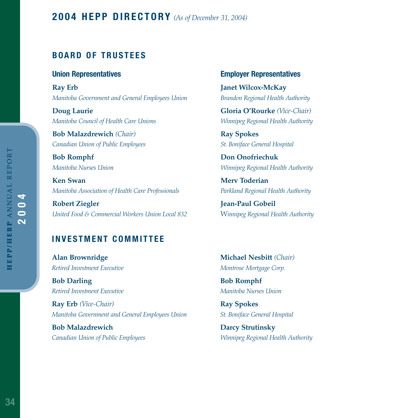#### **BOARD OF TRUSTEES**

#### **Union Representatives**

**Ray Erb** *Manitoba Government and General Employees Union*

**Doug Laurie** *Manitoba Council of Health Care Unions*

**Bob Malazdrewich** *(Chair) Canadian Union of Public Employees*

**Bob Romphf** *Manitoba Nurses Union*

**Ken Swan** *Manitoba Association of Health Care Professionals*

**Robert Ziegler** *United Food & Commercial Workers Union Local 832*

## **Employer Representatives**

**Janet Wilcox-McKay**  *Brandon Regional Health Authority*

**Gloria O'Rourke** *(Vice-Chair) Winnipeg Regional Health Authority*

**Ray Spokes** *St. Boniface General Hospital*

**Don Onofriechuk** *Winnipeg Regional Health Authority*

**Merv Toderian** *Parkland Regional Health Authority*

**Jean-Paul Gobeil** W*innipeg Regional Health Authority*

#### **INVESTMENT COMMITTEE**

**Alan Brownridge** *Retired Investment Executive*

**Bob Darling** *Retired Investment Executive*

**Ray Erb** *(Vice-Chair) Manitoba Government and General Employees Union*

**Bob Malazdrewich** *Canadian Union of Public Employees* **Michael Nesbitt** *(Chair) Montrose Mortgage Corp.*

**Bob Romphf** *Manitoba Nurses Union*

**Ray Spokes** *St. Boniface General Hospital*

**Darcy Strutinsky** *Winnipeg Regional Health Authority*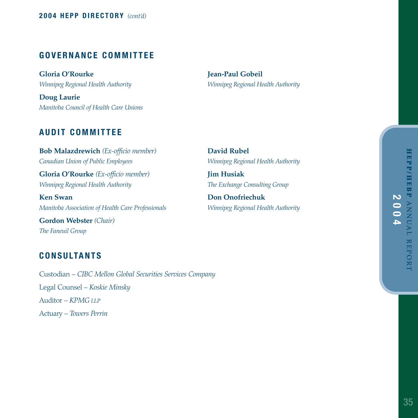#### **GOVERNANCE COMMITTEE**

**Gloria O'Rourke** *Winnipeg Regional Health Authority*

**Doug Laurie** *Manitoba Council of Health Care Unions* **Jean-Paul Gobeil** *Winnipeg Regional Health Authority*

#### **AUDIT COMMITTEE**

**Bob Malazdrewich** *(Ex-officio member) Canadian Union of Public Employees* 

**Gloria O'Rourke** *(Ex-officio member) Winnipeg Regional Health Authority*

**Ken Swan** *Manitoba Association of Health Care Professionals*

**Gordon Webster** *(Chair) The Faneuil Group*

#### **CONSULTANTS**

Custodian – *CIBC Mellon Global Securities Services Company* Legal Counsel – *Koskie Minsky* Auditor – *KPMG LLP* Actuary – *Towers Perrin*

**David Rubel** *Winnipeg Regional Health Authority*

**Jim Husiak** *The Exchange Consulting Group*

**Don Onofriechuk** *Winnipeg Regional Health Authority*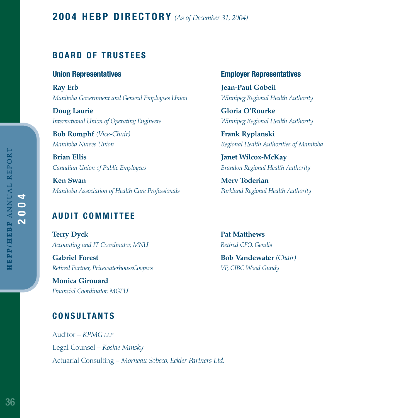#### **BOARD OF TRUSTEES**

#### **Union Representatives**

**Ray Erb** *Manitoba Government and General Employees Union*

**Doug Laurie** *International Union of Operating Engineers*

**Bob Romphf** *(Vice-Chair) Manitoba Nurses Union*

**Brian Ellis**  *Canadian Union of Public Employees*

**Ken Swan** *Manitoba Association of Health Care Professionals*

## **AUDIT COMMITTEE**

**Terry Dyck** *Accounting and IT Coordinator, MNU*

**Gabriel Forest** *Retired Partner, PricewaterhouseCoopers*

**Monica Girouard** *Financial Coordinator, MGEU*

## **CONSULTANTS**

Auditor – *KPMG LLP* Legal Counsel – *Koskie Minsky* Actuarial Consulting – *Morneau Sobeco, Eckler Partners Ltd.*

#### **Employer Representatives**

**Jean-Paul Gobeil** *Winnipeg Regional Health Authority*

**Gloria O'Rourke** *Winnipeg Regional Health Authority*

**Frank Ryplanski** *Regional Health Authorities of Manitoba*

**Janet Wilcox-McKay**  *Brandon Regional Health Authority*

**Merv Toderian** *Parkland Regional Health Authority*

**Pat Matthews** *Retired CFO, Gendis*

**Bob Vandewater** *(Chair) VP, CIBC Wood Gundy*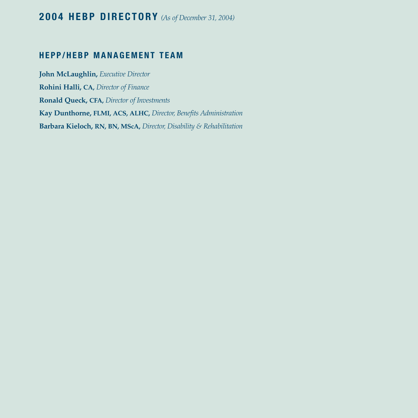## **2004 HEBP DIRECTORY** *(As of December 31, 2004)*

#### **HEPP/HEBP MANAGEMENT TEAM**

**John McLaughlin,** *Executive Director* **Rohini Halli, CA,** *Director of Finance* **Ronald Queck, CFA,** *Director of Investments* **Kay Dunthorne, FLMI, ACS, ALHC,** *Director, Benefits Administration* **Barbara Kieloch, RN, BN, MScA,** *Director, Disability & Rehabilitation*